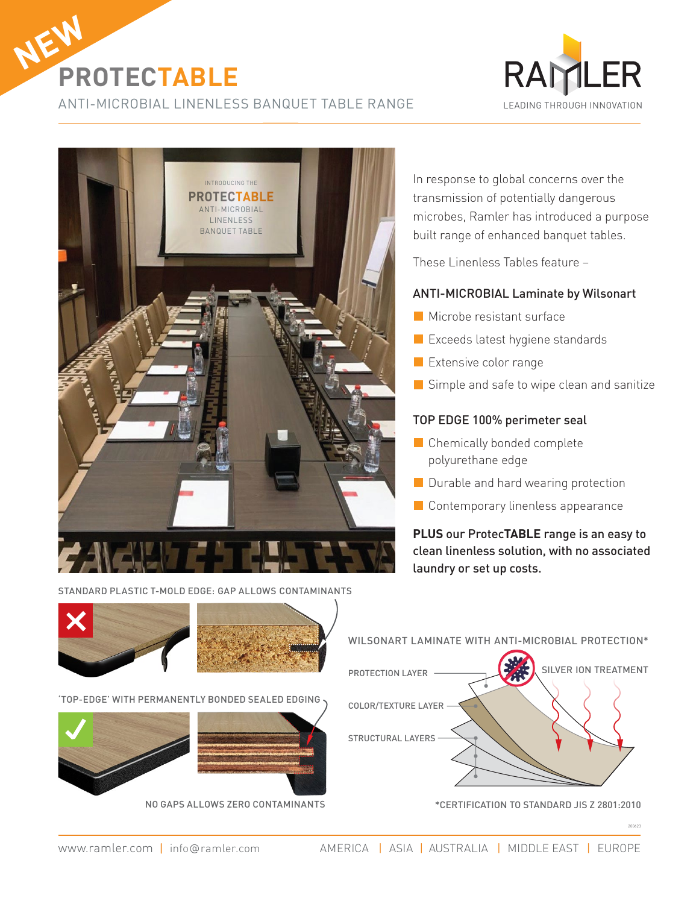

ANTI-MICROBIAL LINENLESS BANQUET TABLE RANGE





In response to global concerns over the transmission of potentially dangerous microbes, Ramler has introduced a purpose built range of enhanced banquet tables.

These Linenless Tables feature –

## ANTI-MICROBIAL Laminate by Wilsonart

- **Microbe resistant surface**
- **Exceeds latest hygiene standards**
- **Extensive color range**
- Simple and safe to wipe clean and sanitize

## TOP EDGE 100% perimeter seal

- Chemically bonded complete polyurethane edge
- Durable and hard wearing protection
- **Contemporary linenless appearance**

**PLUS** our Protec**TABLE** range is an easy to clean linenless solution, with no associated laundry or set up costs.